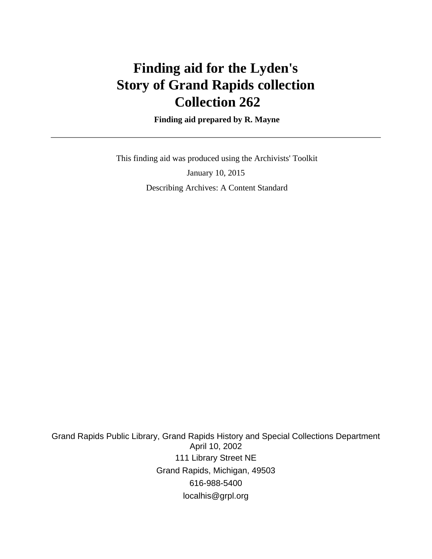# **Finding aid for the Lyden's Story of Grand Rapids collection Collection 262**

 **Finding aid prepared by R. Mayne**

 This finding aid was produced using the Archivists' Toolkit January 10, 2015 Describing Archives: A Content Standard

Grand Rapids Public Library, Grand Rapids History and Special Collections Department April 10, 2002 111 Library Street NE Grand Rapids, Michigan, 49503 616-988-5400 localhis@grpl.org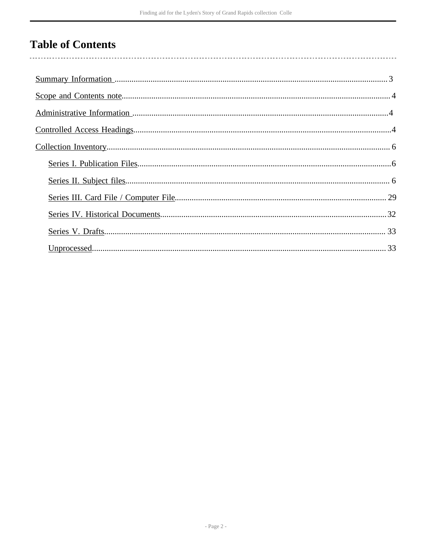# **Table of Contents**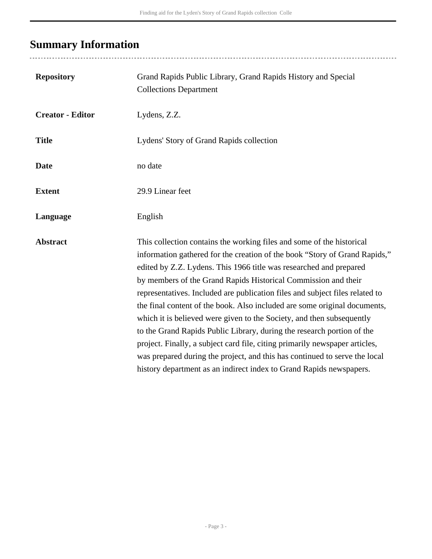# <span id="page-2-0"></span>**Summary Information**

..................................

| <b>Repository</b>       | Grand Rapids Public Library, Grand Rapids History and Special<br><b>Collections Department</b>                                                                                                                                                                                                                                                                                                                                                                                                                                                                                                                                                                                                                                                                                                                                                  |
|-------------------------|-------------------------------------------------------------------------------------------------------------------------------------------------------------------------------------------------------------------------------------------------------------------------------------------------------------------------------------------------------------------------------------------------------------------------------------------------------------------------------------------------------------------------------------------------------------------------------------------------------------------------------------------------------------------------------------------------------------------------------------------------------------------------------------------------------------------------------------------------|
| <b>Creator - Editor</b> | Lydens, Z.Z.                                                                                                                                                                                                                                                                                                                                                                                                                                                                                                                                                                                                                                                                                                                                                                                                                                    |
| <b>Title</b>            | Lydens' Story of Grand Rapids collection                                                                                                                                                                                                                                                                                                                                                                                                                                                                                                                                                                                                                                                                                                                                                                                                        |
| <b>Date</b>             | no date                                                                                                                                                                                                                                                                                                                                                                                                                                                                                                                                                                                                                                                                                                                                                                                                                                         |
| <b>Extent</b>           | 29.9 Linear feet                                                                                                                                                                                                                                                                                                                                                                                                                                                                                                                                                                                                                                                                                                                                                                                                                                |
| Language                | English                                                                                                                                                                                                                                                                                                                                                                                                                                                                                                                                                                                                                                                                                                                                                                                                                                         |
| <b>Abstract</b>         | This collection contains the working files and some of the historical<br>information gathered for the creation of the book "Story of Grand Rapids,"<br>edited by Z.Z. Lydens. This 1966 title was researched and prepared<br>by members of the Grand Rapids Historical Commission and their<br>representatives. Included are publication files and subject files related to<br>the final content of the book. Also included are some original documents,<br>which it is believed were given to the Society, and then subsequently<br>to the Grand Rapids Public Library, during the research portion of the<br>project. Finally, a subject card file, citing primarily newspaper articles,<br>was prepared during the project, and this has continued to serve the local<br>history department as an indirect index to Grand Rapids newspapers. |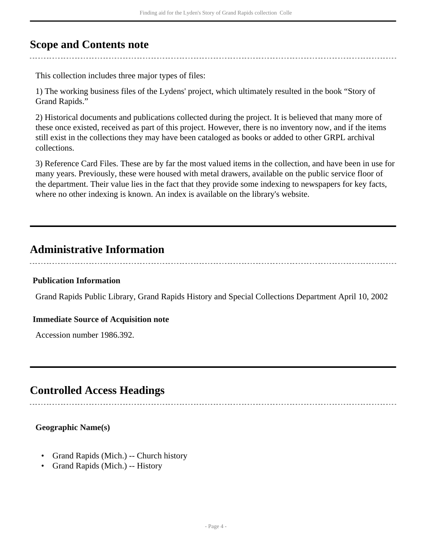## <span id="page-3-0"></span>**Scope and Contents note**

This collection includes three major types of files:

1) The working business files of the Lydens' project, which ultimately resulted in the book "Story of Grand Rapids."

2) Historical documents and publications collected during the project. It is believed that many more of these once existed, received as part of this project. However, there is no inventory now, and if the items still exist in the collections they may have been cataloged as books or added to other GRPL archival collections.

3) Reference Card Files. These are by far the most valued items in the collection, and have been in use for many years. Previously, these were housed with metal drawers, available on the public service floor of the department. Their value lies in the fact that they provide some indexing to newspapers for key facts, where no other indexing is known. An index is available on the library's website.

## <span id="page-3-1"></span>**Administrative Information**

#### **Publication Information**

Grand Rapids Public Library, Grand Rapids History and Special Collections Department April 10, 2002

#### **Immediate Source of Acquisition note**

Accession number 1986.392.

## <span id="page-3-2"></span>**Controlled Access Headings**

## **Geographic Name(s)**

- Grand Rapids (Mich.) -- Church history
- Grand Rapids (Mich.) -- History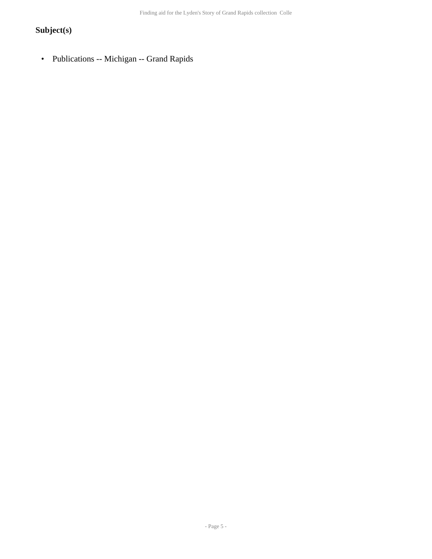## **Subject(s)**

• Publications -- Michigan -- Grand Rapids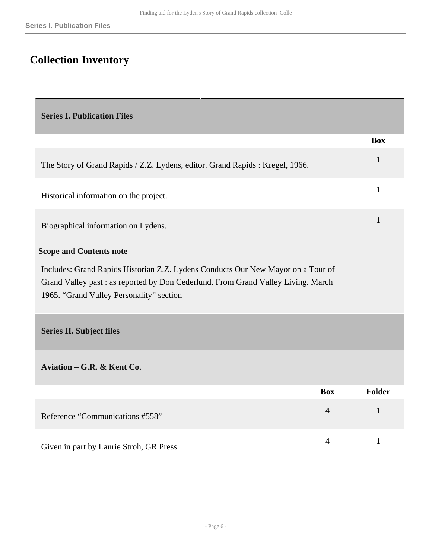# <span id="page-5-0"></span>**Collection Inventory**

<span id="page-5-2"></span><span id="page-5-1"></span>

| <b>Series I. Publication Files</b>                                                                                                                                                                                |                |              |
|-------------------------------------------------------------------------------------------------------------------------------------------------------------------------------------------------------------------|----------------|--------------|
|                                                                                                                                                                                                                   |                | <b>Box</b>   |
| The Story of Grand Rapids / Z.Z. Lydens, editor. Grand Rapids : Kregel, 1966.                                                                                                                                     |                | $\mathbf{1}$ |
| Historical information on the project.                                                                                                                                                                            |                | $\mathbf{1}$ |
| Biographical information on Lydens.                                                                                                                                                                               |                | 1            |
| <b>Scope and Contents note</b>                                                                                                                                                                                    |                |              |
| Includes: Grand Rapids Historian Z.Z. Lydens Conducts Our New Mayor on a Tour of<br>Grand Valley past : as reported by Don Cederlund. From Grand Valley Living. March<br>1965. "Grand Valley Personality" section |                |              |
| <b>Series II. Subject files</b>                                                                                                                                                                                   |                |              |
| Aviation - G.R. & Kent Co.                                                                                                                                                                                        |                |              |
|                                                                                                                                                                                                                   | <b>Box</b>     | Folder       |
| Reference "Communications #558"                                                                                                                                                                                   | $\overline{4}$ | $\mathbf{1}$ |
| Given in part by Laurie Stroh, GR Press                                                                                                                                                                           | $\overline{4}$ | $\mathbf{1}$ |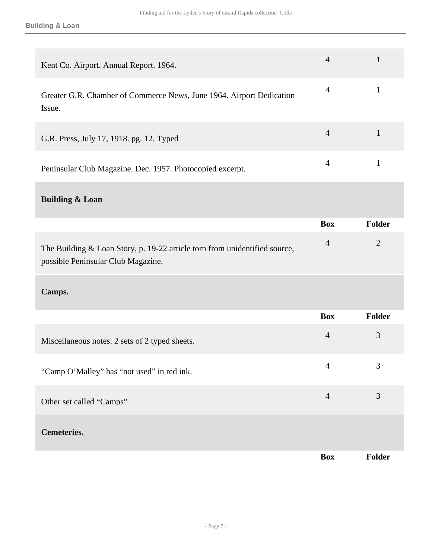| Kent Co. Airport. Annual Report. 1964.                                                                             | $\overline{4}$ | 1             |
|--------------------------------------------------------------------------------------------------------------------|----------------|---------------|
| Greater G.R. Chamber of Commerce News, June 1964. Airport Dedication<br>Issue.                                     | $\overline{4}$ | 1             |
| G.R. Press, July 17, 1918. pg. 12. Typed                                                                           | $\overline{4}$ | 1             |
| Peninsular Club Magazine. Dec. 1957. Photocopied excerpt.                                                          | $\overline{4}$ | 1             |
| <b>Building &amp; Loan</b>                                                                                         |                |               |
|                                                                                                                    | <b>Box</b>     | <b>Folder</b> |
| The Building $& Loan Story, p. 19-22$ article torn from unidentified source,<br>possible Peninsular Club Magazine. | $\overline{4}$ | 2             |

### **Camps.**

|                                                | <b>Box</b>     | Folder |
|------------------------------------------------|----------------|--------|
| Miscellaneous notes. 2 sets of 2 typed sheets. | $\overline{4}$ | 3      |
| "Camp O'Malley" has "not used" in red ink.     | 4              | 3      |
| Other set called "Camps"                       | $\overline{4}$ | 3      |
| <b>Cemeteries.</b>                             |                |        |
|                                                | <b>Box</b>     | Folder |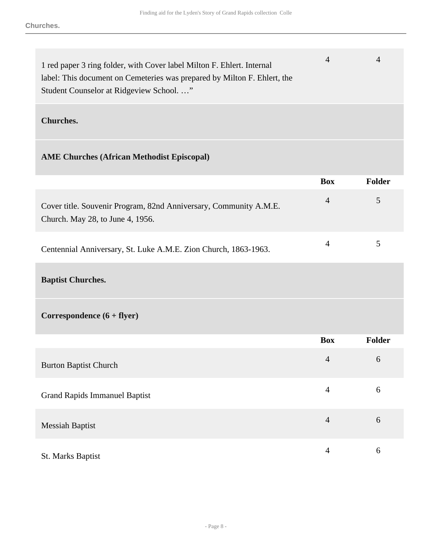| 1 red paper 3 ring folder, with Cover label Milton F. Ehlert. Internal<br>label: This document on Cemeteries was prepared by Milton F. Ehlert, the<br>Student Counselor at Ridgeview School" | 4              | 4             |
|----------------------------------------------------------------------------------------------------------------------------------------------------------------------------------------------|----------------|---------------|
| <b>Churches.</b>                                                                                                                                                                             |                |               |
| <b>AME Churches (African Methodist Episcopal)</b>                                                                                                                                            |                |               |
|                                                                                                                                                                                              | <b>Box</b>     | <b>Folder</b> |
| Cover title. Souvenir Program, 82nd Anniversary, Community A.M.E.<br>Church. May 28, to June 4, 1956.                                                                                        | $\overline{4}$ | 5             |
| Centennial Anniversary, St. Luke A.M.E. Zion Church, 1863-1963.                                                                                                                              | 4              | 5             |

**Baptist Churches.** 

**Correspondence (6 + flyer)** 

|                                      | <b>Box</b>     | <b>Folder</b> |
|--------------------------------------|----------------|---------------|
| <b>Burton Baptist Church</b>         | $\overline{4}$ | 6             |
| <b>Grand Rapids Immanuel Baptist</b> | $\overline{4}$ | 6             |
| <b>Messiah Baptist</b>               | $\overline{4}$ | 6             |
| St. Marks Baptist                    | 4              | 6             |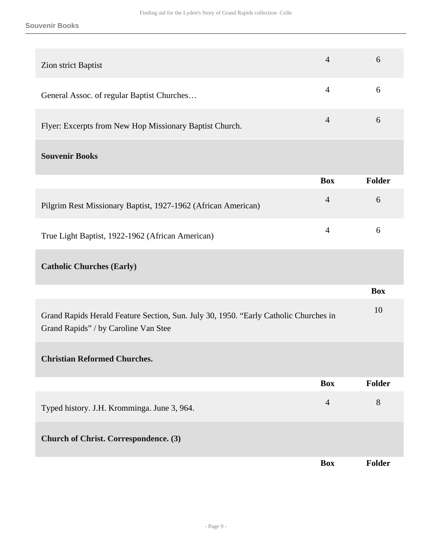#### **Souvenir Books**

| Zion strict Baptist                                                                                                          | $\overline{4}$ | 6             |
|------------------------------------------------------------------------------------------------------------------------------|----------------|---------------|
| General Assoc. of regular Baptist Churches                                                                                   | $\overline{4}$ | 6             |
| Flyer: Excerpts from New Hop Missionary Baptist Church.                                                                      | $\overline{4}$ | 6             |
| <b>Souvenir Books</b>                                                                                                        |                |               |
|                                                                                                                              | <b>Box</b>     | <b>Folder</b> |
| Pilgrim Rest Missionary Baptist, 1927-1962 (African American)                                                                | $\overline{4}$ | 6             |
| True Light Baptist, 1922-1962 (African American)                                                                             | $\overline{4}$ | 6             |
| <b>Catholic Churches (Early)</b>                                                                                             |                |               |
|                                                                                                                              |                | <b>Box</b>    |
| Grand Rapids Herald Feature Section, Sun. July 30, 1950. "Early Catholic Churches in<br>Grand Rapids" / by Caroline Van Stee |                | 10            |
| <b>Christian Reformed Churches.</b>                                                                                          |                |               |
|                                                                                                                              | <b>Box</b>     | <b>Folder</b> |
| Typed history. J.H. Kromminga. June 3, 964.                                                                                  | $\overline{4}$ | 8             |
| <b>Church of Christ. Correspondence. (3)</b>                                                                                 |                |               |
|                                                                                                                              | <b>Box</b>     | <b>Folder</b> |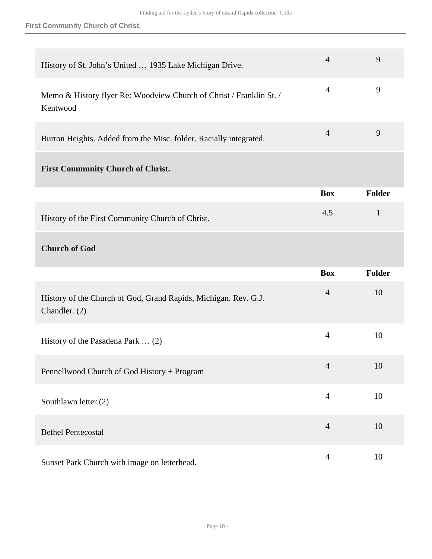#### **First Community Church of Christ.**

| History of St. John's United  1935 Lake Michigan Drive.                          | $\overline{4}$ | 9             |
|----------------------------------------------------------------------------------|----------------|---------------|
| Memo & History flyer Re: Woodview Church of Christ / Franklin St. /<br>Kentwood  | $\overline{4}$ | 9             |
| Burton Heights. Added from the Misc. folder. Racially integrated.                | $\overline{4}$ | 9             |
| <b>First Community Church of Christ.</b>                                         |                |               |
|                                                                                  | <b>Box</b>     | <b>Folder</b> |
| History of the First Community Church of Christ.                                 | 4.5            | $\mathbf{1}$  |
| <b>Church of God</b>                                                             |                |               |
|                                                                                  |                |               |
|                                                                                  | <b>Box</b>     | <b>Folder</b> |
| History of the Church of God, Grand Rapids, Michigan. Rev. G.J.<br>Chandler. (2) | $\overline{4}$ | 10            |
| History of the Pasadena Park  (2)                                                | $\overline{4}$ | 10            |
| Pennellwood Church of God History + Program                                      | $\overline{4}$ | 10            |
| Southlawn letter.(2)                                                             | $\overline{4}$ | 10            |
| <b>Bethel Pentecostal</b>                                                        | $\overline{4}$ | 10            |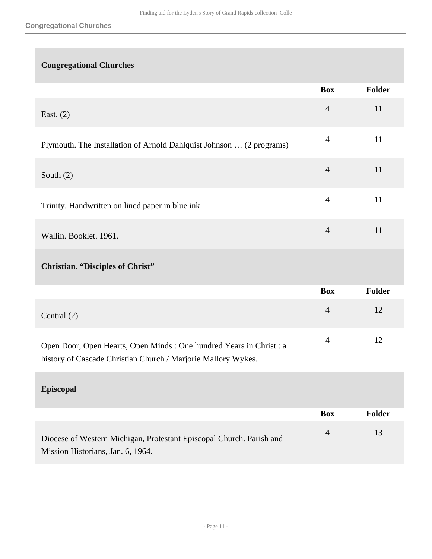## **Congregational Churches**

|                                                                                                                                       | <b>Box</b>     | Folder |
|---------------------------------------------------------------------------------------------------------------------------------------|----------------|--------|
| East. $(2)$                                                                                                                           | $\overline{4}$ | 11     |
| Plymouth. The Installation of Arnold Dahlquist Johnson  (2 programs)                                                                  | $\overline{4}$ | 11     |
| South $(2)$                                                                                                                           | $\overline{4}$ | 11     |
| Trinity. Handwritten on lined paper in blue ink.                                                                                      | $\overline{4}$ | 11     |
| Wallin. Booklet. 1961.                                                                                                                | $\overline{4}$ | 11     |
| <b>Christian. "Disciples of Christ"</b>                                                                                               |                |        |
|                                                                                                                                       | <b>Box</b>     | Folder |
| Central (2)                                                                                                                           | $\overline{4}$ | 12     |
| Open Door, Open Hearts, Open Minds : One hundred Years in Christ : a<br>history of Cascade Christian Church / Marjorie Mallory Wykes. | $\overline{4}$ | 12     |
| <b>Episcopal</b>                                                                                                                      |                |        |
|                                                                                                                                       | <b>Box</b>     | Folder |
| Diocese of Western Michigan, Protestant Episcopal Church. Parish and<br>Mission Historians, Jan. 6, 1964.                             | $\overline{4}$ | 13     |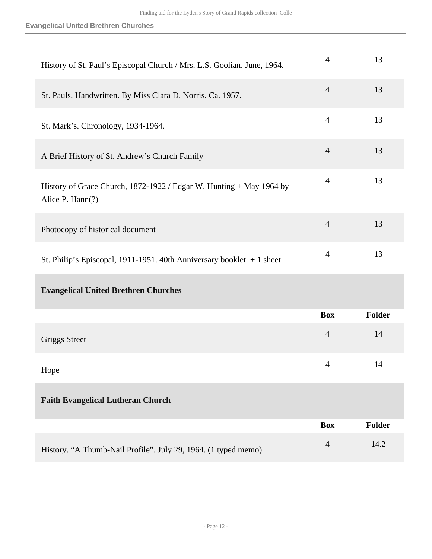| History of St. Paul's Episcopal Church / Mrs. L.S. Goolian. June, 1964.                 | $\overline{4}$ | 13            |
|-----------------------------------------------------------------------------------------|----------------|---------------|
| St. Pauls. Handwritten. By Miss Clara D. Norris. Ca. 1957.                              | $\overline{4}$ | 13            |
| St. Mark's. Chronology, 1934-1964.                                                      | $\overline{4}$ | 13            |
| A Brief History of St. Andrew's Church Family                                           | $\overline{4}$ | 13            |
| History of Grace Church, 1872-1922 / Edgar W. Hunting + May 1964 by<br>Alice P. Hann(?) | $\overline{4}$ | 13            |
| Photocopy of historical document                                                        | $\overline{4}$ | 13            |
| St. Philip's Episcopal, 1911-1951. 40th Anniversary booklet. $+1$ sheet                 | $\overline{4}$ | 13            |
| <b>Evangelical United Brethren Churches</b>                                             |                |               |
|                                                                                         | <b>Box</b>     | <b>Folder</b> |
| <b>Griggs Street</b>                                                                    | $\overline{4}$ | 14            |
| Hope                                                                                    | $\overline{4}$ | 14            |
| <b>Faith Evangelical Lutheran Church</b>                                                |                |               |
|                                                                                         | <b>Box</b>     | <b>Folder</b> |
| History. "A Thumb-Nail Profile". July 29, 1964. (1 typed memo)                          | $\overline{4}$ | 14.2          |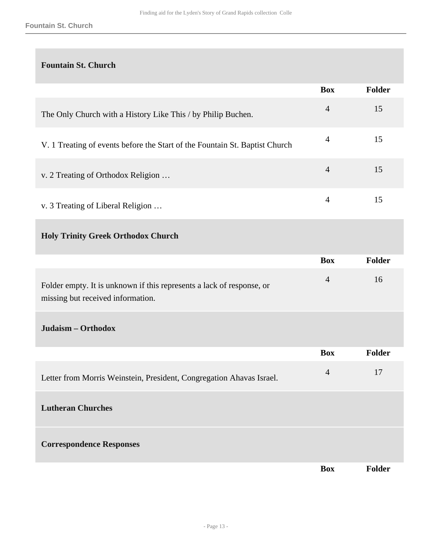## **Fountain St. Church**

|                                                                             | <b>Box</b>     | <b>Folder</b> |
|-----------------------------------------------------------------------------|----------------|---------------|
| The Only Church with a History Like This / by Philip Buchen.                | $\overline{4}$ | 15            |
| V. 1 Treating of events before the Start of the Fountain St. Baptist Church | $\overline{4}$ | 15            |
| v. 2 Treating of Orthodox Religion                                          | 4              | 15            |
| v. 3 Treating of Liberal Religion                                           | 4              | 15            |

## **Holy Trinity Greek Orthodox Church**

|                                                                                                            | <b>Box</b>     | Folder        |
|------------------------------------------------------------------------------------------------------------|----------------|---------------|
| Folder empty. It is unknown if this represents a lack of response, or<br>missing but received information. | $\overline{4}$ | 16            |
| Judaism - Orthodox                                                                                         |                |               |
|                                                                                                            | <b>Box</b>     | <b>Folder</b> |
| Letter from Morris Weinstein, President, Congregation Ahavas Israel.                                       | $\overline{4}$ | 17            |
| <b>Lutheran Churches</b>                                                                                   |                |               |
| <b>Correspondence Responses</b>                                                                            |                |               |
|                                                                                                            | <b>Box</b>     | <b>Folder</b> |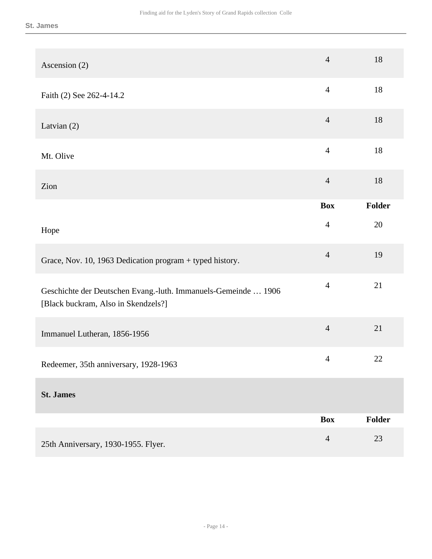| Ascension (2)                                                                                         | $\overline{4}$ | 18            |
|-------------------------------------------------------------------------------------------------------|----------------|---------------|
| Faith (2) See 262-4-14.2                                                                              | $\overline{4}$ | 18            |
| Latvian (2)                                                                                           | $\overline{4}$ | 18            |
| Mt. Olive                                                                                             | $\overline{4}$ | 18            |
| Zion                                                                                                  | $\overline{4}$ | 18            |
|                                                                                                       | <b>Box</b>     | Folder        |
| Hope                                                                                                  | $\overline{4}$ | 20            |
| Grace, Nov. 10, 1963 Dedication program + typed history.                                              | $\overline{4}$ | 19            |
| Geschichte der Deutschen Evang.-luth. Immanuels-Gemeinde  1906<br>[Black buckram, Also in Skendzels?] | $\overline{4}$ | 21            |
| Immanuel Lutheran, 1856-1956                                                                          | $\overline{4}$ | 21            |
| Redeemer, 35th anniversary, 1928-1963                                                                 | $\overline{4}$ | 22            |
| <b>St. James</b>                                                                                      |                |               |
|                                                                                                       | <b>Box</b>     | <b>Folder</b> |
| 25th Anniversary, 1930-1955. Flyer.                                                                   | $\overline{4}$ | 23            |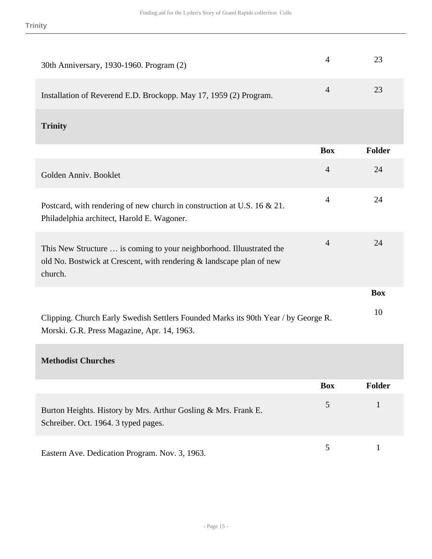| 30th Anniversary, 1930-1960. Program (2)                                                                                                                | $\overline{4}$ | 23           |
|---------------------------------------------------------------------------------------------------------------------------------------------------------|----------------|--------------|
| Installation of Reverend E.D. Brockopp. May 17, 1959 (2) Program.                                                                                       | $\overline{4}$ | 23           |
| <b>Trinity</b>                                                                                                                                          |                |              |
|                                                                                                                                                         | <b>Box</b>     | Folder       |
| Golden Anniv. Booklet                                                                                                                                   | $\overline{4}$ | 24           |
| Postcard, with rendering of new church in construction at U.S. $16 \& 21$ .<br>Philadelphia architect, Harold E. Wagoner.                               | $\overline{4}$ | 24           |
| This New Structure  is coming to your neighborhood. Illuustrated the<br>old No. Bostwick at Crescent, with rendering & landscape plan of new<br>church. | $\overline{4}$ | 24           |
|                                                                                                                                                         |                | <b>Box</b>   |
| Clipping. Church Early Swedish Settlers Founded Marks its 90th Year / by George R.<br>Morski. G.R. Press Magazine, Apr. 14, 1963.                       |                | 10           |
| <b>Methodist Churches</b>                                                                                                                               |                |              |
|                                                                                                                                                         | <b>Box</b>     | Folder       |
| Burton Heights. History by Mrs. Arthur Gosling & Mrs. Frank E.<br>Schreiber. Oct. 1964. 3 typed pages.                                                  | 5              | $\mathbf{1}$ |
| Eastern Ave. Dedication Program. Nov. 3, 1963.                                                                                                          | 5              | $\mathbf{1}$ |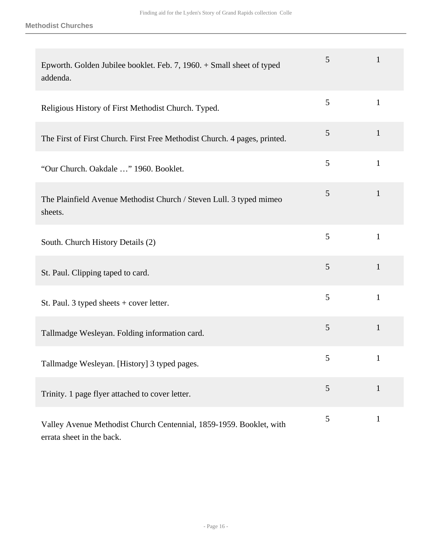| Epworth. Golden Jubilee booklet. Feb. 7, 1960. + Small sheet of typed<br>addenda.                | 5 | $\mathbf{1}$ |
|--------------------------------------------------------------------------------------------------|---|--------------|
| Religious History of First Methodist Church. Typed.                                              | 5 | $\mathbf{1}$ |
| The First of First Church. First Free Methodist Church. 4 pages, printed.                        | 5 | $\mathbf{1}$ |
| "Our Church. Oakdale " 1960. Booklet.                                                            | 5 | $\mathbf{1}$ |
| The Plainfield Avenue Methodist Church / Steven Lull. 3 typed mimeo<br>sheets.                   | 5 | $\mathbf{1}$ |
| South. Church History Details (2)                                                                | 5 | $\mathbf{1}$ |
| St. Paul. Clipping taped to card.                                                                | 5 | $\mathbf{1}$ |
| St. Paul. 3 typed sheets + cover letter.                                                         | 5 | $\mathbf{1}$ |
| Tallmadge Wesleyan. Folding information card.                                                    | 5 | $\mathbf{1}$ |
| Tallmadge Wesleyan. [History] 3 typed pages.                                                     | 5 | $\mathbf{1}$ |
| Trinity. 1 page flyer attached to cover letter.                                                  | 5 | $\mathbf{1}$ |
| Valley Avenue Methodist Church Centennial, 1859-1959. Booklet, with<br>errata sheet in the back. | 5 | $\mathbf{1}$ |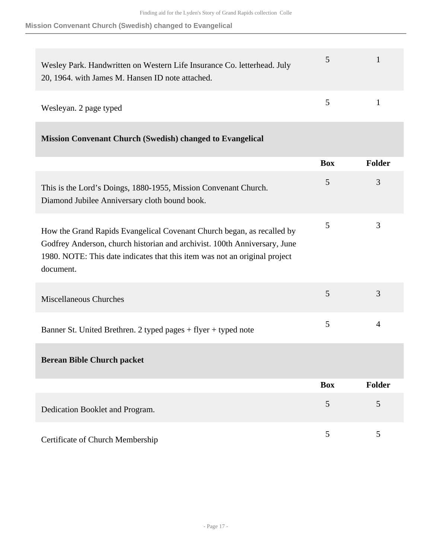### **Mission Convenant Church (Swedish) changed to Evangelical**

| Wesley Park. Handwritten on Western Life Insurance Co. letterhead. July<br>20, 1964. with James M. Hansen ID note attached. | $5 -$  |  |
|-----------------------------------------------------------------------------------------------------------------------------|--------|--|
| Wesleyan. 2 page typed                                                                                                      | $\sim$ |  |

|  |  | <b>Mission Convenant Church (Swedish) changed to Evangelical</b> |
|--|--|------------------------------------------------------------------|
|  |  |                                                                  |

|                                                                                                                                                                                                                                                | <b>Box</b> | Folder |
|------------------------------------------------------------------------------------------------------------------------------------------------------------------------------------------------------------------------------------------------|------------|--------|
| This is the Lord's Doings, 1880-1955, Mission Convenant Church.<br>Diamond Jubilee Anniversary cloth bound book.                                                                                                                               | 5          | 3      |
| How the Grand Rapids Evangelical Covenant Church began, as recalled by<br>Godfrey Anderson, church historian and archivist. 100th Anniversary, June<br>1980. NOTE: This date indicates that this item was not an original project<br>document. | 5          | 3      |
| <b>Miscellaneous Churches</b>                                                                                                                                                                                                                  | 5          | 3      |
| Banner St. United Brethren. 2 typed pages + flyer + typed note                                                                                                                                                                                 | 5          | 4      |
| <b>Berean Bible Church packet</b>                                                                                                                                                                                                              |            |        |
|                                                                                                                                                                                                                                                | <b>Box</b> | Folder |
| Dedication Booklet and Program.                                                                                                                                                                                                                | 5          | 5      |
| Certificate of Church Membership                                                                                                                                                                                                               | 5          | 5      |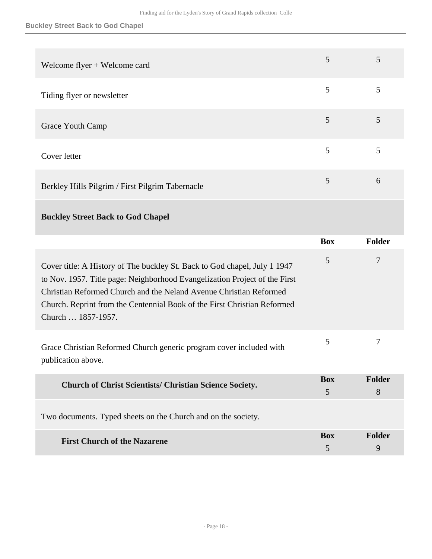| Welcome flyer + Welcome card                                                                                                                                                                                                                                                                                                    | 5                            | 5           |
|---------------------------------------------------------------------------------------------------------------------------------------------------------------------------------------------------------------------------------------------------------------------------------------------------------------------------------|------------------------------|-------------|
| Tiding flyer or newsletter                                                                                                                                                                                                                                                                                                      | 5                            | 5           |
| Grace Youth Camp                                                                                                                                                                                                                                                                                                                | 5                            | 5           |
| Cover letter                                                                                                                                                                                                                                                                                                                    | 5                            | 5           |
| Berkley Hills Pilgrim / First Pilgrim Tabernacle                                                                                                                                                                                                                                                                                | 5                            | 6           |
| <b>Buckley Street Back to God Chapel</b>                                                                                                                                                                                                                                                                                        |                              |             |
|                                                                                                                                                                                                                                                                                                                                 | <b>Box</b>                   | Folder      |
|                                                                                                                                                                                                                                                                                                                                 |                              |             |
| Cover title: A History of The buckley St. Back to God chapel, July 1 1947<br>to Nov. 1957. Title page: Neighborhood Evangelization Project of the First<br>Christian Reformed Church and the Neland Avenue Christian Reformed<br>Church. Reprint from the Centennial Book of the First Christian Reformed<br>Church  1857-1957. | 5                            | $\tau$      |
| Grace Christian Reformed Church generic program cover included with<br>publication above.                                                                                                                                                                                                                                       | 5                            | 7           |
| <b>Church of Christ Scientists/ Christian Science Society.</b>                                                                                                                                                                                                                                                                  | <b>Box</b><br>$\mathfrak{S}$ | Folder<br>8 |
| Two documents. Typed sheets on the Church and on the society.                                                                                                                                                                                                                                                                   |                              |             |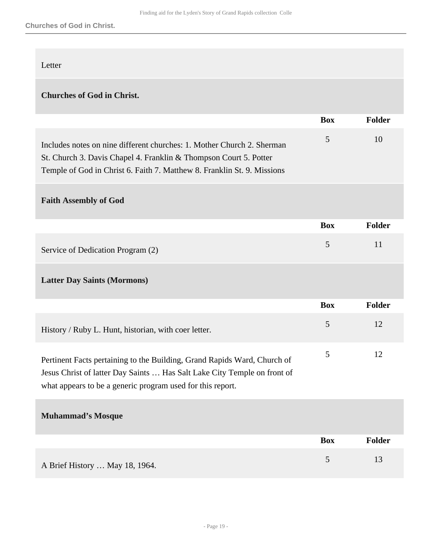#### Letter

## **Churches of God in Christ.**

|                                                                                                                                                                                                                        | <b>Box</b> | Folder        |
|------------------------------------------------------------------------------------------------------------------------------------------------------------------------------------------------------------------------|------------|---------------|
| Includes notes on nine different churches: 1. Mother Church 2. Sherman<br>St. Church 3. Davis Chapel 4. Franklin & Thompson Court 5. Potter<br>Temple of God in Christ 6. Faith 7. Matthew 8. Franklin St. 9. Missions | 5          | 10            |
| <b>Faith Assembly of God</b>                                                                                                                                                                                           |            |               |
|                                                                                                                                                                                                                        | <b>Box</b> | <b>Folder</b> |
| Service of Dedication Program (2)                                                                                                                                                                                      | 5          | 11            |
| <b>Latter Day Saints (Mormons)</b>                                                                                                                                                                                     |            |               |
|                                                                                                                                                                                                                        | <b>Box</b> | <b>Folder</b> |
| History / Ruby L. Hunt, historian, with coer letter.                                                                                                                                                                   | 5          | 12            |
| Pertinent Facts pertaining to the Building, Grand Rapids Ward, Church of<br>Jesus Christ of latter Day Saints  Has Salt Lake City Temple on front of<br>what appears to be a generic program used for this report.     | 5          | 12            |
| <b>Muhammad's Mosque</b>                                                                                                                                                                                               |            |               |
|                                                                                                                                                                                                                        | <b>Box</b> | <b>Folder</b> |
| A Brief History  May 18, 1964.                                                                                                                                                                                         | 5          | 13            |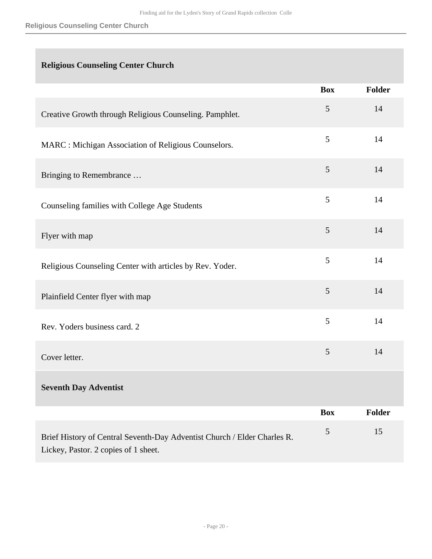## **Religious Counseling Center Church**

|                                                                                                                  | <b>Box</b>     | Folder        |
|------------------------------------------------------------------------------------------------------------------|----------------|---------------|
| Creative Growth through Religious Counseling. Pamphlet.                                                          | 5              | 14            |
| MARC : Michigan Association of Religious Counselors.                                                             | 5              | 14            |
| Bringing to Remembrance                                                                                          | $\mathfrak{S}$ | 14            |
| Counseling families with College Age Students                                                                    | 5              | 14            |
| Flyer with map                                                                                                   | 5              | 14            |
| Religious Counseling Center with articles by Rev. Yoder.                                                         | 5              | 14            |
| Plainfield Center flyer with map                                                                                 | 5              | 14            |
| Rev. Yoders business card. 2                                                                                     | 5              | 14            |
| Cover letter.                                                                                                    | $\mathfrak{S}$ | 14            |
| <b>Seventh Day Adventist</b>                                                                                     |                |               |
|                                                                                                                  | <b>Box</b>     | <b>Folder</b> |
| Brief History of Central Seventh-Day Adventist Church / Elder Charles R.<br>Lickey, Pastor. 2 copies of 1 sheet. | 5              | 15            |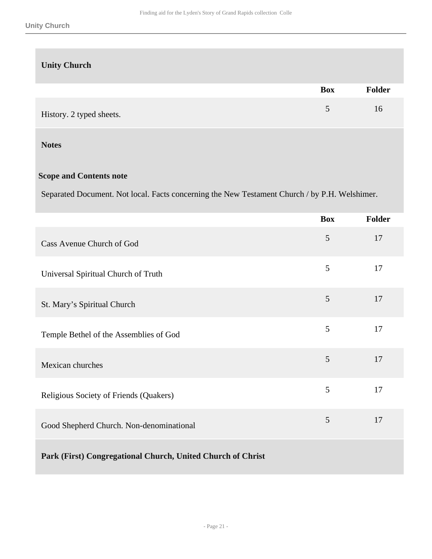### **Unity Church**

|                          | <b>Box</b> | <b>Folder</b> |
|--------------------------|------------|---------------|
| History. 2 typed sheets. |            | 16            |

#### **Notes**

### **Scope and Contents note**

Separated Document. Not local. Facts concerning the New Testament Church / by P.H. Welshimer.

|                                                             | <b>Box</b> | Folder |
|-------------------------------------------------------------|------------|--------|
| Cass Avenue Church of God                                   | 5          | 17     |
| Universal Spiritual Church of Truth                         | 5          | 17     |
| St. Mary's Spiritual Church                                 | 5          | 17     |
| Temple Bethel of the Assemblies of God                      | 5          | 17     |
| Mexican churches                                            | 5          | 17     |
| Religious Society of Friends (Quakers)                      | 5          | 17     |
| Good Shepherd Church. Non-denominational                    | 5          | 17     |
| Park (First) Congregational Church, United Church of Christ |            |        |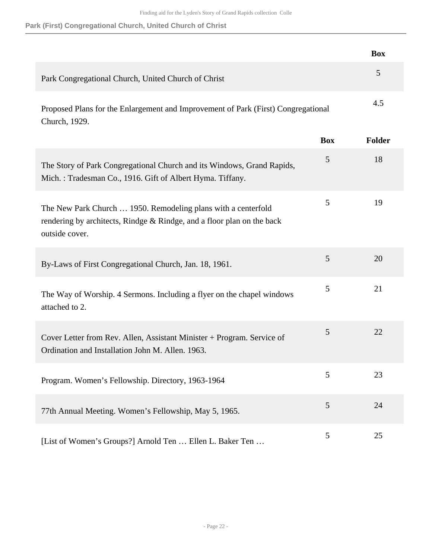### **Park (First) Congregational Church, United Church of Christ**

|                                                                                                                                                           |            | <b>Box</b> |
|-----------------------------------------------------------------------------------------------------------------------------------------------------------|------------|------------|
| Park Congregational Church, United Church of Christ                                                                                                       |            | 5          |
| Proposed Plans for the Enlargement and Improvement of Park (First) Congregational<br>Church, 1929.                                                        |            | 4.5        |
|                                                                                                                                                           | <b>Box</b> | Folder     |
| The Story of Park Congregational Church and its Windows, Grand Rapids,<br>Mich.: Tradesman Co., 1916. Gift of Albert Hyma. Tiffany.                       | 5          | 18         |
| The New Park Church  1950. Remodeling plans with a centerfold<br>rendering by architects, Rindge & Rindge, and a floor plan on the back<br>outside cover. | 5          | 19         |
| By-Laws of First Congregational Church, Jan. 18, 1961.                                                                                                    | 5          | 20         |
| The Way of Worship. 4 Sermons. Including a flyer on the chapel windows<br>attached to 2.                                                                  | 5          | 21         |
| Cover Letter from Rev. Allen, Assistant Minister + Program. Service of<br>Ordination and Installation John M. Allen. 1963.                                | 5          | 22         |
| Program. Women's Fellowship. Directory, 1963-1964                                                                                                         | 5          | 23         |
| 77th Annual Meeting. Women's Fellowship, May 5, 1965.                                                                                                     | 5          | 24         |
| [List of Women's Groups?] Arnold Ten  Ellen L. Baker Ten                                                                                                  | 5          | 25         |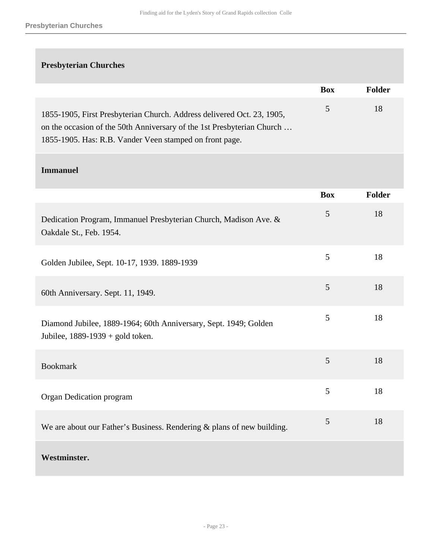## **Presbyterian Churches**

|                                                                                                                                                                                                             | <b>Box</b> | Folder |
|-------------------------------------------------------------------------------------------------------------------------------------------------------------------------------------------------------------|------------|--------|
| 1855-1905, First Presbyterian Church. Address delivered Oct. 23, 1905,<br>on the occasion of the 50th Anniversary of the 1st Presbyterian Church<br>1855-1905. Has: R.B. Vander Veen stamped on front page. | 5          | 18     |
| <b>Immanuel</b>                                                                                                                                                                                             |            |        |
|                                                                                                                                                                                                             | <b>Box</b> | Folder |
| Dedication Program, Immanuel Presbyterian Church, Madison Ave. &<br>Oakdale St., Feb. 1954.                                                                                                                 | 5          | 18     |
| Golden Jubilee, Sept. 10-17, 1939. 1889-1939                                                                                                                                                                | 5          | 18     |
| 60th Anniversary. Sept. 11, 1949.                                                                                                                                                                           | 5          | 18     |
| Diamond Jubilee, 1889-1964; 60th Anniversary, Sept. 1949; Golden<br>Jubilee, $1889-1939 +$ gold token.                                                                                                      | 5          | 18     |
| <b>Bookmark</b>                                                                                                                                                                                             | 5          | 18     |
| Organ Dedication program                                                                                                                                                                                    | 5          | 18     |
| We are about our Father's Business. Rendering & plans of new building.                                                                                                                                      | 5          | 18     |
| Westminster.                                                                                                                                                                                                |            |        |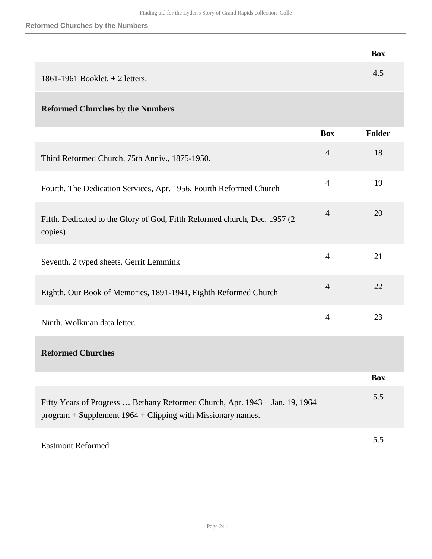|                                                                                                                                              |                | <b>Box</b>    |
|----------------------------------------------------------------------------------------------------------------------------------------------|----------------|---------------|
| 1861-1961 Booklet. $+ 2$ letters.                                                                                                            |                | 4.5           |
| <b>Reformed Churches by the Numbers</b>                                                                                                      |                |               |
|                                                                                                                                              | <b>Box</b>     | <b>Folder</b> |
| Third Reformed Church. 75th Anniv., 1875-1950.                                                                                               | $\overline{4}$ | 18            |
| Fourth. The Dedication Services, Apr. 1956, Fourth Reformed Church                                                                           | $\overline{4}$ | 19            |
| Fifth. Dedicated to the Glory of God, Fifth Reformed church, Dec. 1957 (2)<br>copies)                                                        | $\overline{4}$ | 20            |
| Seventh. 2 typed sheets. Gerrit Lemmink                                                                                                      | $\overline{4}$ | 21            |
| Eighth. Our Book of Memories, 1891-1941, Eighth Reformed Church                                                                              | $\overline{4}$ | 22            |
| Ninth. Wolkman data letter.                                                                                                                  | $\overline{4}$ | 23            |
| <b>Reformed Churches</b>                                                                                                                     |                |               |
|                                                                                                                                              |                | <b>Box</b>    |
| Fifty Years of Progress  Bethany Reformed Church, Apr. 1943 + Jan. 19, 1964<br>$program + Supplement 1964 + Clipping with Missionary names.$ |                | 5.5           |
| <b>Eastmont Reformed</b>                                                                                                                     |                | 5.5           |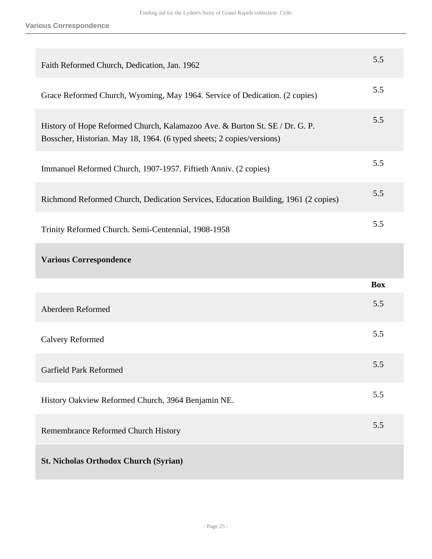| Faith Reformed Church, Dedication, Jan. 1962                                                                                                          | 5.5        |
|-------------------------------------------------------------------------------------------------------------------------------------------------------|------------|
| Grace Reformed Church, Wyoming, May 1964. Service of Dedication. (2 copies)                                                                           | 5.5        |
| History of Hope Reformed Church, Kalamazoo Ave. & Burton St. SE / Dr. G. P.<br>Bosscher, Historian. May 18, 1964. (6 typed sheets; 2 copies/versions) | 5.5        |
| Immanuel Reformed Church, 1907-1957. Fiftieth Anniv. (2 copies)                                                                                       | 5.5        |
| Richmond Reformed Church, Dedication Services, Education Building, 1961 (2 copies)                                                                    | 5.5        |
| Trinity Reformed Church. Semi-Centennial, 1908-1958                                                                                                   | 5.5        |
|                                                                                                                                                       |            |
| <b>Various Correspondence</b>                                                                                                                         |            |
|                                                                                                                                                       | <b>Box</b> |
| Aberdeen Reformed                                                                                                                                     | 5.5        |
| <b>Calvery Reformed</b>                                                                                                                               | 5.5        |
| <b>Garfield Park Reformed</b>                                                                                                                         | 5.5        |
| History Oakview Reformed Church, 3964 Benjamin NE.                                                                                                    | 5.5        |
| Remembrance Reformed Church History                                                                                                                   | 5.5        |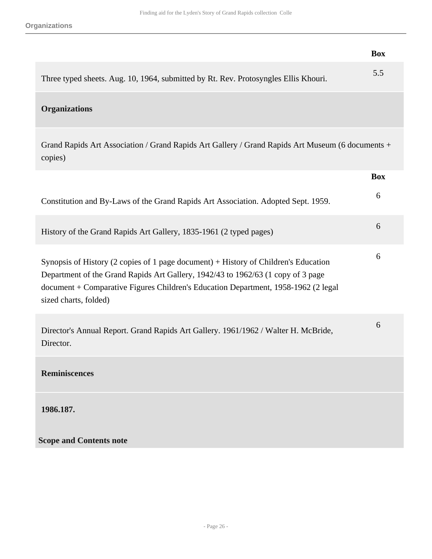|                                                                                                                                                                                                                                                                                        | <b>Box</b> |
|----------------------------------------------------------------------------------------------------------------------------------------------------------------------------------------------------------------------------------------------------------------------------------------|------------|
| Three typed sheets. Aug. 10, 1964, submitted by Rt. Rev. Protosyngles Ellis Khouri.                                                                                                                                                                                                    | 5.5        |
| <b>Organizations</b>                                                                                                                                                                                                                                                                   |            |
| Grand Rapids Art Association / Grand Rapids Art Gallery / Grand Rapids Art Museum (6 documents +<br>copies)                                                                                                                                                                            |            |
|                                                                                                                                                                                                                                                                                        | <b>Box</b> |
| Constitution and By-Laws of the Grand Rapids Art Association. Adopted Sept. 1959.                                                                                                                                                                                                      | 6          |
| History of the Grand Rapids Art Gallery, 1835-1961 (2 typed pages)                                                                                                                                                                                                                     | 6          |
| Synopsis of History (2 copies of 1 page document) + History of Children's Education<br>Department of the Grand Rapids Art Gallery, 1942/43 to 1962/63 (1 copy of 3 page<br>document + Comparative Figures Children's Education Department, 1958-1962 (2 legal<br>sized charts, folded) | 6          |
| Director's Annual Report. Grand Rapids Art Gallery. 1961/1962 / Walter H. McBride,<br>Director.                                                                                                                                                                                        | 6          |
| <b>Reminiscences</b>                                                                                                                                                                                                                                                                   |            |
| 1986.187.                                                                                                                                                                                                                                                                              |            |
| <b>Scope and Contents note</b>                                                                                                                                                                                                                                                         |            |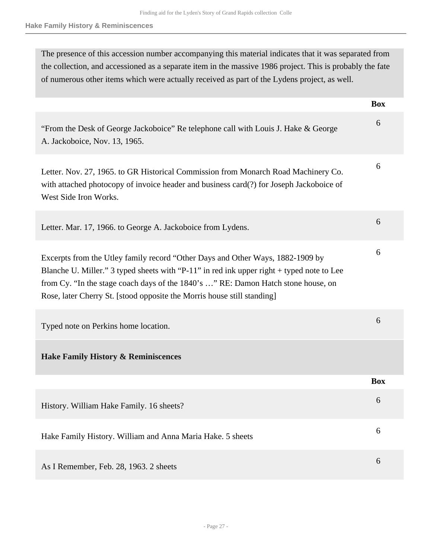The presence of this accession number accompanying this material indicates that it was separated from the collection, and accessioned as a separate item in the massive 1986 project. This is probably the fate of numerous other items which were actually received as part of the Lydens project, as well.

|                                                                                                                                                                                                                                                                                                                                             | <b>Box</b> |
|---------------------------------------------------------------------------------------------------------------------------------------------------------------------------------------------------------------------------------------------------------------------------------------------------------------------------------------------|------------|
| "From the Desk of George Jackoboice" Re telephone call with Louis J. Hake & George<br>A. Jackoboice, Nov. 13, 1965.                                                                                                                                                                                                                         | 6          |
| Letter. Nov. 27, 1965. to GR Historical Commission from Monarch Road Machinery Co.<br>with attached photocopy of invoice header and business card(?) for Joseph Jackoboice of<br>West Side Iron Works.                                                                                                                                      | 6          |
| Letter. Mar. 17, 1966. to George A. Jackoboice from Lydens.                                                                                                                                                                                                                                                                                 | 6          |
| Excerpts from the Utley family record "Other Days and Other Ways, 1882-1909 by<br>Blanche U. Miller." 3 typed sheets with "P-11" in red ink upper right + typed note to Lee<br>from Cy. "In the stage coach days of the 1840's " RE: Damon Hatch stone house, on<br>Rose, later Cherry St. [stood opposite the Morris house still standing] | 6          |
| Typed note on Perkins home location.                                                                                                                                                                                                                                                                                                        | 6          |
| <b>Hake Family History &amp; Reminiscences</b>                                                                                                                                                                                                                                                                                              |            |
|                                                                                                                                                                                                                                                                                                                                             | <b>Box</b> |
| History. William Hake Family. 16 sheets?                                                                                                                                                                                                                                                                                                    | 6          |
| Hake Family History. William and Anna Maria Hake. 5 sheets                                                                                                                                                                                                                                                                                  | 6          |
| As I Remember, Feb. 28, 1963. 2 sheets                                                                                                                                                                                                                                                                                                      | 6          |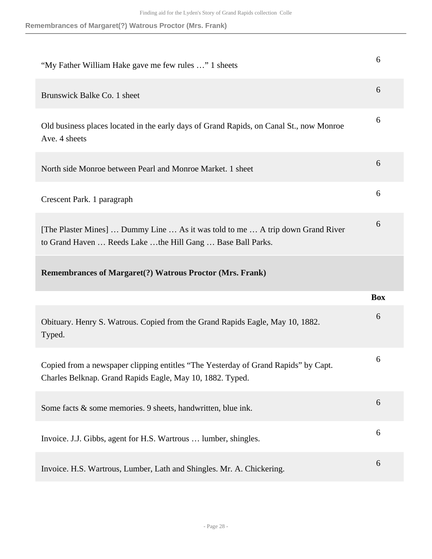| "My Father William Hake gave me few rules " 1 sheets                                                                                            | 6          |
|-------------------------------------------------------------------------------------------------------------------------------------------------|------------|
| Brunswick Balke Co. 1 sheet                                                                                                                     | 6          |
| Old business places located in the early days of Grand Rapids, on Canal St., now Monroe<br>Ave. 4 sheets                                        | 6          |
| North side Monroe between Pearl and Monroe Market. 1 sheet                                                                                      | 6          |
| Crescent Park. 1 paragraph                                                                                                                      | 6          |
| [The Plaster Mines]  Dummy Line  As it was told to me  A trip down Grand River<br>to Grand Haven  Reeds Lake the Hill Gang  Base Ball Parks.    | 6          |
|                                                                                                                                                 |            |
| <b>Remembrances of Margaret(?) Watrous Proctor (Mrs. Frank)</b>                                                                                 |            |
|                                                                                                                                                 | <b>Box</b> |
| Obituary. Henry S. Watrous. Copied from the Grand Rapids Eagle, May 10, 1882.<br>Typed.                                                         | 6          |
| Copied from a newspaper clipping entitles "The Yesterday of Grand Rapids" by Capt.<br>Charles Belknap. Grand Rapids Eagle, May 10, 1882. Typed. | 6          |
| Some facts & some memories. 9 sheets, handwritten, blue ink.                                                                                    | 6          |
| Invoice. J.J. Gibbs, agent for H.S. Wartrous  lumber, shingles.                                                                                 | 6          |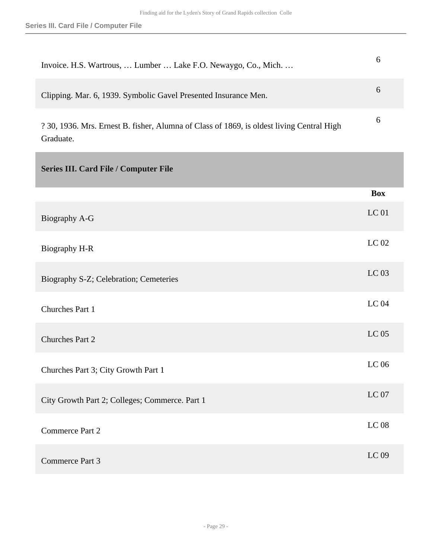<span id="page-28-0"></span>

| Invoice. H.S. Wartrous,  Lumber  Lake F.O. Newaygo, Co., Mich.                                         | 6                |
|--------------------------------------------------------------------------------------------------------|------------------|
| Clipping. Mar. 6, 1939. Symbolic Gavel Presented Insurance Men.                                        | 6                |
| ? 30, 1936. Mrs. Ernest B. fisher, Alumna of Class of 1869, is oldest living Central High<br>Graduate. | 6                |
| Series III. Card File / Computer File                                                                  |                  |
|                                                                                                        | <b>Box</b>       |
| Biography A-G                                                                                          | <b>LC</b> 01     |
| Biography H-R                                                                                          | LC 02            |
| Biography S-Z; Celebration; Cemeteries                                                                 | LC 03            |
| Churches Part 1                                                                                        | <b>LC 04</b>     |
| <b>Churches Part 2</b>                                                                                 | LC <sub>05</sub> |
| Churches Part 3; City Growth Part 1                                                                    | LC 06            |
| City Growth Part 2; Colleges; Commerce. Part 1                                                         | LC07             |
| Commerce Part 2                                                                                        | $LC$ 08          |
| Commerce Part 3                                                                                        | LC 09            |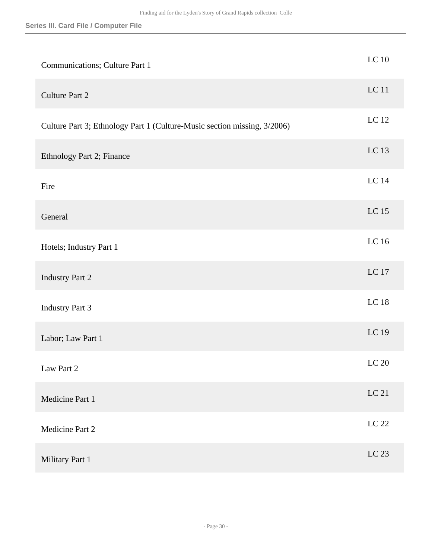| Communications; Culture Part 1                                           | $LC$ 10          |
|--------------------------------------------------------------------------|------------------|
| <b>Culture Part 2</b>                                                    | <b>LC</b> 11     |
| Culture Part 3; Ethnology Part 1 (Culture-Music section missing, 3/2006) | LC $12$          |
| Ethnology Part 2; Finance                                                | LC 13            |
| Fire                                                                     | LC 14            |
| General                                                                  | LC 15            |
| Hotels; Industry Part 1                                                  | LC 16            |
| <b>Industry Part 2</b>                                                   | LC 17            |
| <b>Industry Part 3</b>                                                   | <b>LC 18</b>     |
| Labor; Law Part 1                                                        | LC 19            |
| Law Part 2                                                               | LC <sub>20</sub> |
| Medicine Part 1                                                          | LC 21            |
| Medicine Part 2                                                          | $LC$ $22\,$      |
| Military Part 1                                                          | LC 23            |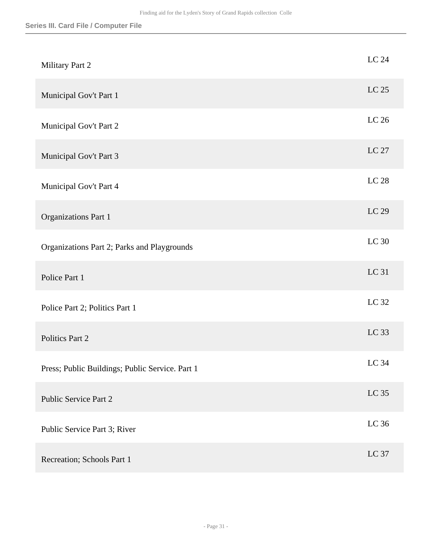| Military Part 2                                 | LC 24       |
|-------------------------------------------------|-------------|
| Municipal Gov't Part 1                          | LC 25       |
| Municipal Gov't Part 2                          | LC 26       |
| Municipal Gov't Part 3                          | LC 27       |
| Municipal Gov't Part 4                          | $LC$ $28\,$ |
| <b>Organizations Part 1</b>                     | LC 29       |
| Organizations Part 2; Parks and Playgrounds     | LC 30       |
| Police Part 1                                   | LC 31       |
| Police Part 2; Politics Part 1                  | LC 32       |
| Politics Part 2                                 | LC 33       |
| Press; Public Buildings; Public Service. Part 1 | LC 34       |
| <b>Public Service Part 2</b>                    | $LC$ 35     |
| Public Service Part 3; River                    | LC $36$     |
| Recreation; Schools Part 1                      | LC 37       |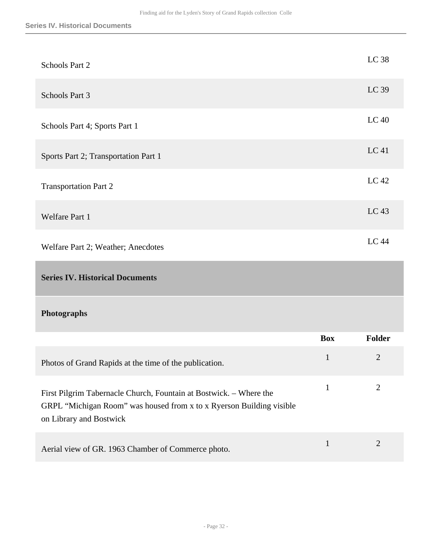<span id="page-31-0"></span>

| Schools Part 2                                                                                                                                                        |              | LC 38          |
|-----------------------------------------------------------------------------------------------------------------------------------------------------------------------|--------------|----------------|
| Schools Part 3                                                                                                                                                        |              | LC 39          |
| Schools Part 4; Sports Part 1                                                                                                                                         |              | <b>LC 40</b>   |
| Sports Part 2; Transportation Part 1                                                                                                                                  |              | LC 41          |
| <b>Transportation Part 2</b>                                                                                                                                          |              | LC 42          |
| Welfare Part 1                                                                                                                                                        |              | LC 43          |
| Welfare Part 2; Weather; Anecdotes                                                                                                                                    |              | <b>LC 44</b>   |
| <b>Series IV. Historical Documents</b>                                                                                                                                |              |                |
| Photographs                                                                                                                                                           |              |                |
|                                                                                                                                                                       | <b>Box</b>   | <b>Folder</b>  |
| Photos of Grand Rapids at the time of the publication.                                                                                                                | $\mathbf{1}$ | $\mathbf{2}$   |
| First Pilgrim Tabernacle Church, Fountain at Bostwick. - Where the<br>GRPL "Michigan Room" was housed from x to x Ryerson Building visible<br>on Library and Bostwick | $\mathbf{1}$ | $\overline{2}$ |
|                                                                                                                                                                       | $\mathbf{1}$ | $\overline{2}$ |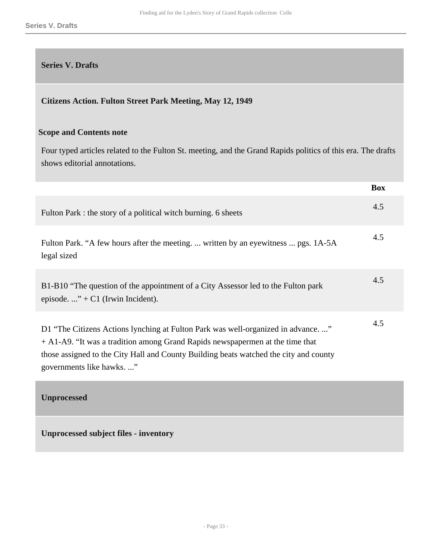#### <span id="page-32-0"></span>**Series V. Drafts**

#### **Citizens Action. Fulton Street Park Meeting, May 12, 1949**

#### **Scope and Contents note**

Four typed articles related to the Fulton St. meeting, and the Grand Rapids politics of this era. The drafts shows editorial annotations.

|                                                                                                                                                                                                                                                                                        | <b>Box</b> |
|----------------------------------------------------------------------------------------------------------------------------------------------------------------------------------------------------------------------------------------------------------------------------------------|------------|
| Fulton Park : the story of a political witch burning. 6 sheets                                                                                                                                                                                                                         | 4.5        |
| Fulton Park. "A few hours after the meeting.  written by an eyewitness  pgs. 1A-5A<br>legal sized                                                                                                                                                                                      | 4.5        |
| B1-B10 "The question of the appointment of a City Assessor led to the Fulton park<br>episode" + $C1$ (Irwin Incident).                                                                                                                                                                 | 4.5        |
| D1 "The Citizens Actions lynching at Fulton Park was well-organized in advance"<br>$+A1-A9$ . "It was a tradition among Grand Rapids newspapermen at the time that<br>those assigned to the City Hall and County Building beats watched the city and county<br>governments like hawks" | 4.5        |
| <b>Unprocessed</b>                                                                                                                                                                                                                                                                     |            |

<span id="page-32-1"></span>**Unprocessed subject files - inventory**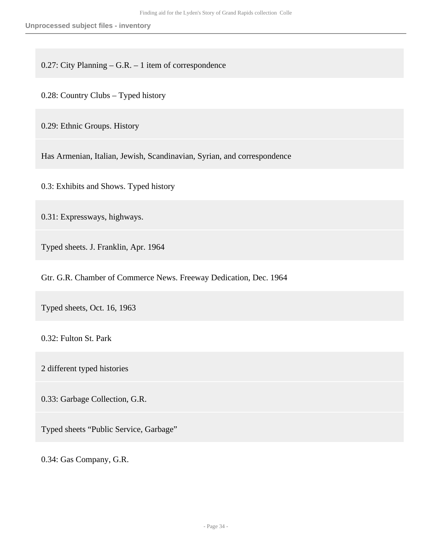0.27: City Planning – G.R. – 1 item of correspondence

0.28: Country Clubs – Typed history

0.29: Ethnic Groups. History

Has Armenian, Italian, Jewish, Scandinavian, Syrian, and correspondence

0.3: Exhibits and Shows. Typed history

0.31: Expressways, highways.

Typed sheets. J. Franklin, Apr. 1964

Gtr. G.R. Chamber of Commerce News. Freeway Dedication, Dec. 1964

Typed sheets, Oct. 16, 1963

0.32: Fulton St. Park

2 different typed histories

0.33: Garbage Collection, G.R.

Typed sheets "Public Service, Garbage"

0.34: Gas Company, G.R.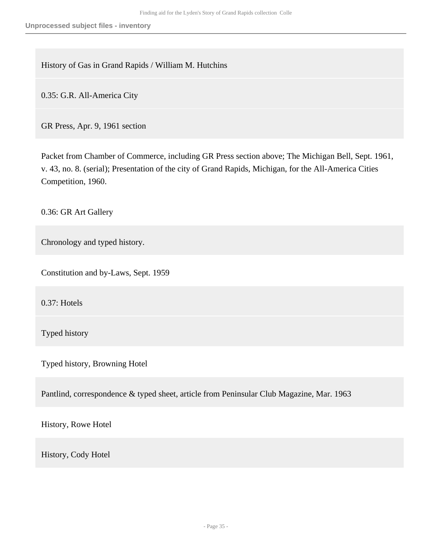History of Gas in Grand Rapids / William M. Hutchins

0.35: G.R. All-America City

GR Press, Apr. 9, 1961 section

Packet from Chamber of Commerce, including GR Press section above; The Michigan Bell, Sept. 1961, v. 43, no. 8. (serial); Presentation of the city of Grand Rapids, Michigan, for the All-America Cities Competition, 1960.

0.36: GR Art Gallery

Chronology and typed history.

Constitution and by-Laws, Sept. 1959

0.37: Hotels

Typed history

Typed history, Browning Hotel

Pantlind, correspondence & typed sheet, article from Peninsular Club Magazine, Mar. 1963

History, Rowe Hotel

History, Cody Hotel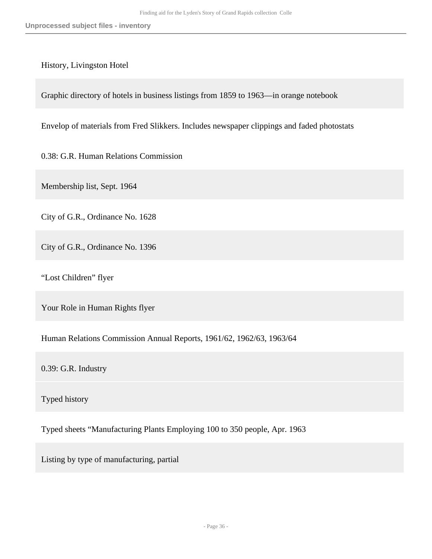#### History, Livingston Hotel

Graphic directory of hotels in business listings from 1859 to 1963—in orange notebook

Envelop of materials from Fred Slikkers. Includes newspaper clippings and faded photostats

0.38: G.R. Human Relations Commission

Membership list, Sept. 1964

City of G.R., Ordinance No. 1628

City of G.R., Ordinance No. 1396

"Lost Children" flyer

Your Role in Human Rights flyer

Human Relations Commission Annual Reports, 1961/62, 1962/63, 1963/64

0.39: G.R. Industry

Typed history

Typed sheets "Manufacturing Plants Employing 100 to 350 people, Apr. 1963

Listing by type of manufacturing, partial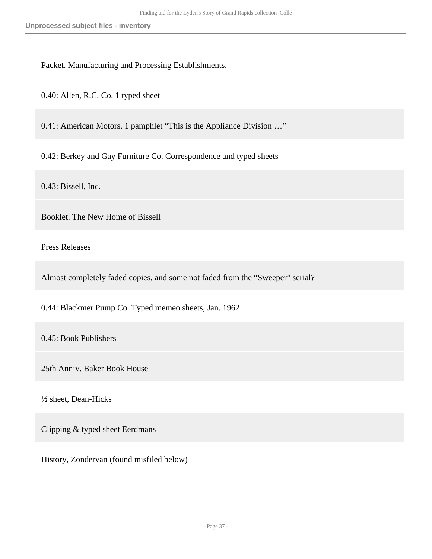Packet. Manufacturing and Processing Establishments.

0.40: Allen, R.C. Co. 1 typed sheet

0.41: American Motors. 1 pamphlet "This is the Appliance Division …"

0.42: Berkey and Gay Furniture Co. Correspondence and typed sheets

0.43: Bissell, Inc.

Booklet. The New Home of Bissell

Press Releases

Almost completely faded copies, and some not faded from the "Sweeper" serial?

0.44: Blackmer Pump Co. Typed memeo sheets, Jan. 1962

0.45: Book Publishers

25th Anniv. Baker Book House

½ sheet, Dean-Hicks

Clipping & typed sheet Eerdmans

History, Zondervan (found misfiled below)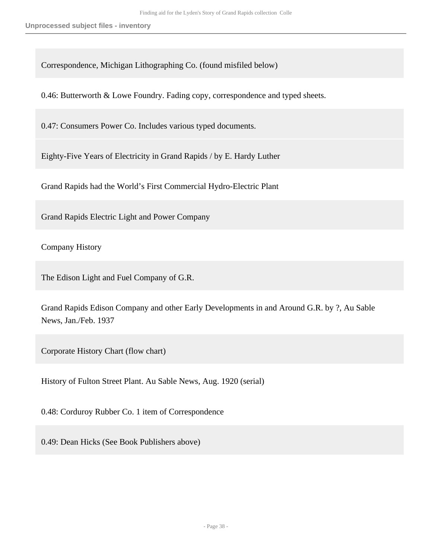Correspondence, Michigan Lithographing Co. (found misfiled below)

0.46: Butterworth & Lowe Foundry. Fading copy, correspondence and typed sheets.

0.47: Consumers Power Co. Includes various typed documents.

Eighty-Five Years of Electricity in Grand Rapids / by E. Hardy Luther

Grand Rapids had the World's First Commercial Hydro-Electric Plant

Grand Rapids Electric Light and Power Company

Company History

The Edison Light and Fuel Company of G.R.

Grand Rapids Edison Company and other Early Developments in and Around G.R. by ?, Au Sable News, Jan./Feb. 1937

Corporate History Chart (flow chart)

History of Fulton Street Plant. Au Sable News, Aug. 1920 (serial)

0.48: Corduroy Rubber Co. 1 item of Correspondence

0.49: Dean Hicks (See Book Publishers above)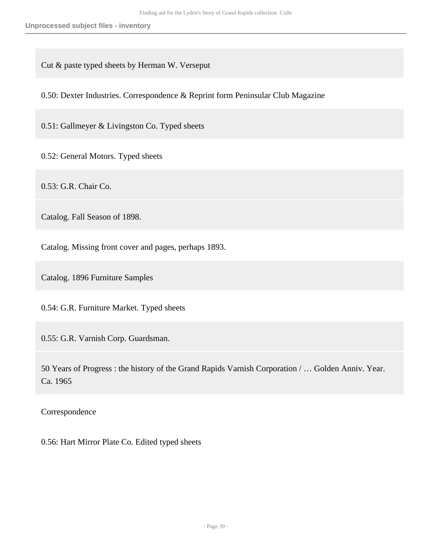Cut & paste typed sheets by Herman W. Verseput

0.50: Dexter Industries. Correspondence & Reprint form Peninsular Club Magazine

0.51: Gallmeyer & Livingston Co. Typed sheets

0.52: General Motors. Typed sheets

0.53: G.R. Chair Co.

Catalog. Fall Season of 1898.

Catalog. Missing front cover and pages, perhaps 1893.

Catalog. 1896 Furniture Samples

0.54: G.R. Furniture Market. Typed sheets

0.55: G.R. Varnish Corp. Guardsman.

50 Years of Progress : the history of the Grand Rapids Varnish Corporation / … Golden Anniv. Year. Ca. 1965

Correspondence

0.56: Hart Mirror Plate Co. Edited typed sheets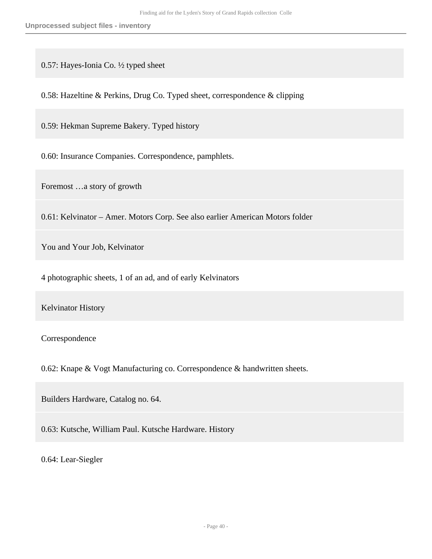0.57: Hayes-Ionia Co. ½ typed sheet

0.58: Hazeltine & Perkins, Drug Co. Typed sheet, correspondence & clipping

0.59: Hekman Supreme Bakery. Typed history

0.60: Insurance Companies. Correspondence, pamphlets.

Foremost …a story of growth

0.61: Kelvinator – Amer. Motors Corp. See also earlier American Motors folder

You and Your Job, Kelvinator

4 photographic sheets, 1 of an ad, and of early Kelvinators

Kelvinator History

Correspondence

0.62: Knape & Vogt Manufacturing co. Correspondence & handwritten sheets.

Builders Hardware, Catalog no. 64.

0.63: Kutsche, William Paul. Kutsche Hardware. History

0.64: Lear-Siegler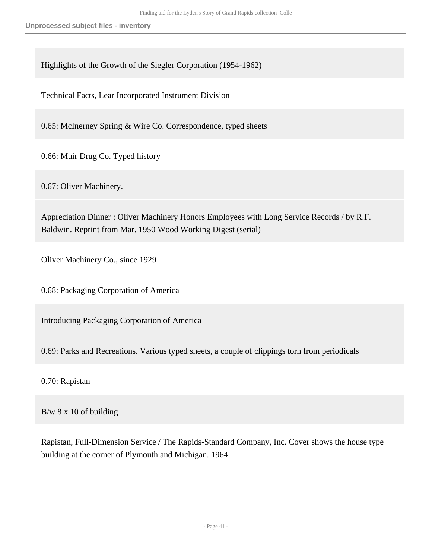Highlights of the Growth of the Siegler Corporation (1954-1962)

Technical Facts, Lear Incorporated Instrument Division

0.65: McInerney Spring & Wire Co. Correspondence, typed sheets

0.66: Muir Drug Co. Typed history

0.67: Oliver Machinery.

Appreciation Dinner : Oliver Machinery Honors Employees with Long Service Records / by R.F. Baldwin. Reprint from Mar. 1950 Wood Working Digest (serial)

Oliver Machinery Co., since 1929

0.68: Packaging Corporation of America

Introducing Packaging Corporation of America

0.69: Parks and Recreations. Various typed sheets, a couple of clippings torn from periodicals

0.70: Rapistan

B/w 8 x 10 of building

Rapistan, Full-Dimension Service / The Rapids-Standard Company, Inc. Cover shows the house type building at the corner of Plymouth and Michigan. 1964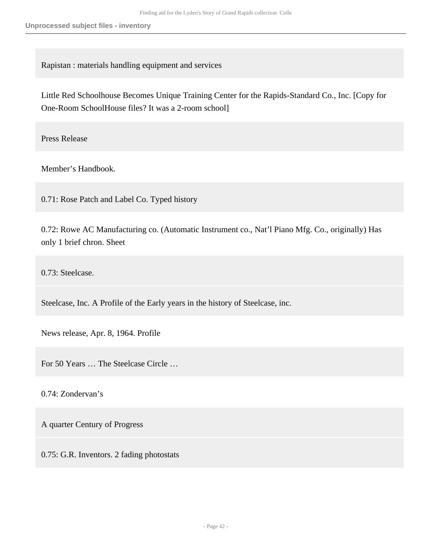Rapistan : materials handling equipment and services

Little Red Schoolhouse Becomes Unique Training Center for the Rapids-Standard Co., Inc. [Copy for One-Room SchoolHouse files? It was a 2-room school]

Press Release

Member's Handbook.

0.71: Rose Patch and Label Co. Typed history

0.72: Rowe AC Manufacturing co. (Automatic Instrument co., Nat'l Piano Mfg. Co., originally) Has only 1 brief chron. Sheet

0.73: Steelcase.

Steelcase, Inc. A Profile of the Early years in the history of Steelcase, inc.

News release, Apr. 8, 1964. Profile

For 50 Years … The Steelcase Circle …

0.74: Zondervan's

A quarter Century of Progress

0.75: G.R. Inventors. 2 fading photostats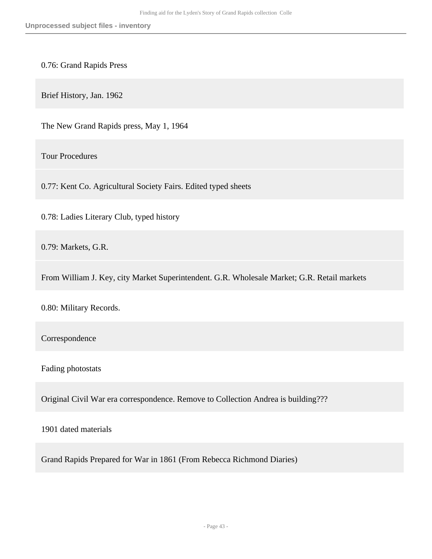0.76: Grand Rapids Press

Brief History, Jan. 1962

The New Grand Rapids press, May 1, 1964

Tour Procedures

0.77: Kent Co. Agricultural Society Fairs. Edited typed sheets

0.78: Ladies Literary Club, typed history

0.79: Markets, G.R.

From William J. Key, city Market Superintendent. G.R. Wholesale Market; G.R. Retail markets

0.80: Military Records.

Correspondence

Fading photostats

Original Civil War era correspondence. Remove to Collection Andrea is building???

1901 dated materials

Grand Rapids Prepared for War in 1861 (From Rebecca Richmond Diaries)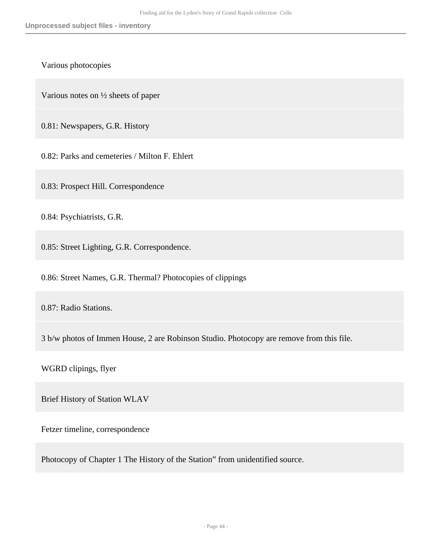Various photocopies

Various notes on ½ sheets of paper

0.81: Newspapers, G.R. History

0.82: Parks and cemeteries / Milton F. Ehlert

0.83: Prospect Hill. Correspondence

0.84: Psychiatrists, G.R.

0.85: Street Lighting, G.R. Correspondence.

0.86: Street Names, G.R. Thermal? Photocopies of clippings

0.87: Radio Stations.

3 b/w photos of Immen House, 2 are Robinson Studio. Photocopy are remove from this file.

WGRD clipings, flyer

Brief History of Station WLAV

Fetzer timeline, correspondence

Photocopy of Chapter 1 The History of the Station" from unidentified source.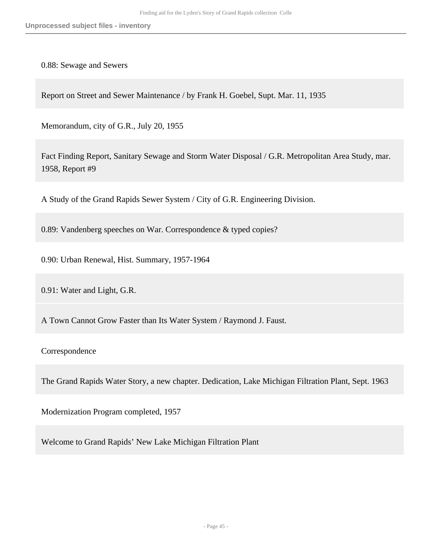0.88: Sewage and Sewers

Report on Street and Sewer Maintenance / by Frank H. Goebel, Supt. Mar. 11, 1935

Memorandum, city of G.R., July 20, 1955

Fact Finding Report, Sanitary Sewage and Storm Water Disposal / G.R. Metropolitan Area Study, mar. 1958, Report #9

A Study of the Grand Rapids Sewer System / City of G.R. Engineering Division.

0.89: Vandenberg speeches on War. Correspondence & typed copies?

0.90: Urban Renewal, Hist. Summary, 1957-1964

0.91: Water and Light, G.R.

A Town Cannot Grow Faster than Its Water System / Raymond J. Faust.

Correspondence

The Grand Rapids Water Story, a new chapter. Dedication, Lake Michigan Filtration Plant, Sept. 1963

Modernization Program completed, 1957

Welcome to Grand Rapids' New Lake Michigan Filtration Plant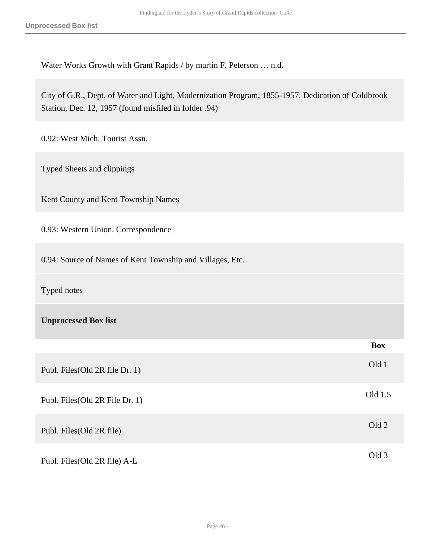Water Works Growth with Grant Rapids / by martin F. Peterson … n.d.

City of G.R., Dept. of Water and Light, Modernization Program, 1855-1957. Dedication of Coldbrook Station, Dec. 12, 1957 (found misfiled in folder .94)

0.92: West Mich. Tourist Assn.

Typed Sheets and clippings

Kent County and Kent Township Names

0.93: Western Union. Correspondence

0.94: Source of Names of Kent Township and Villages, Etc.

Typed notes

**Unprocessed Box list** 

|                                 | <b>Box</b> |
|---------------------------------|------------|
| Publ. Files (Old 2R file Dr. 1) | Old 1      |
| Publ. Files (Old 2R File Dr. 1) | Old 1.5    |
| Publ. Files (Old 2R file)       | Old 2      |
| Publ. Files (Old 2R file) A-L   | Old 3      |